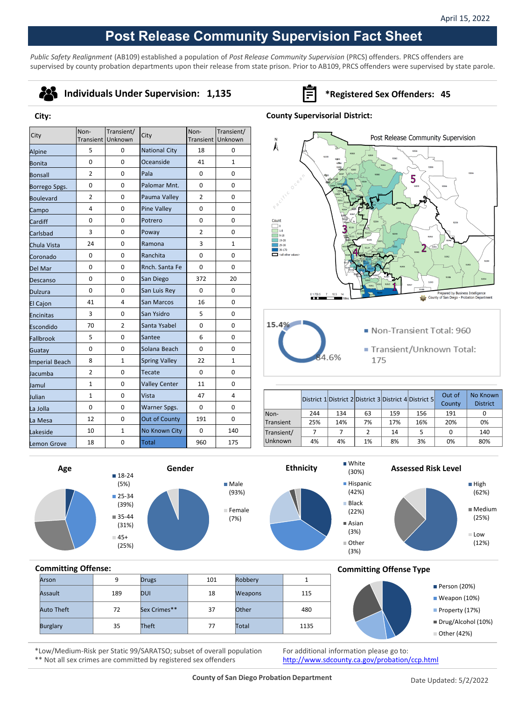## **Post Release Community Supervision Fact Sheet**

*Public Safety Realignment* (AB109) established a population of *Post Release Community Supervision* (PRCS) offenders. PRCS offenders are supervised by county probation departments upon their release from state prison. Prior to AB109, PRCS offenders were supervised by state parole.



**City:**

### **Individuals Under Supervision: 1,135 Fig. 31.135 \*Registered Sex Offenders: 45**

## **County Supervisorial District:**

| City            | Non-           | Transient/<br>Transient Unknown | City                 | Non-           | Transient/<br>Transient Unknown |
|-----------------|----------------|---------------------------------|----------------------|----------------|---------------------------------|
| Alpine          | 5              | 0                               | <b>National City</b> | 18             | 0                               |
| Bonita          | $\Omega$       | 0                               | Oceanside            | 41             | $\mathbf{1}$                    |
| Bonsall         | $\overline{2}$ | 0                               | Pala                 | 0              | 0                               |
| Borrego Spgs.   | 0              | 0                               | Palomar Mnt.         | $\Omega$       | 0                               |
| Boulevard       | $\overline{2}$ | 0                               | Pauma Valley         | $\overline{2}$ | 0                               |
| Campo           | 4              | 0                               | <b>Pine Valley</b>   | $\Omega$       | $\Omega$                        |
| Cardiff         | 0              | 0                               | Potrero              | 0              | 0                               |
| Carlsbad        | 3              | 0                               | Poway                | $\overline{2}$ | 0                               |
| Chula Vista     | 24             | 0                               | Ramona               | 3              | $\mathbf{1}$                    |
| Coronado        | 0              | 0                               | Ranchita             | 0              | 0                               |
| Del Mar         | 0              | 0                               | Rnch, Santa Fe       | $\Omega$       | 0                               |
| Descanso        | 0              | 0                               | San Diego            | 372            | 20                              |
| Dulzura         | 0              | 0                               | San Luis Rey         | 0              | 0                               |
| <b>El Cajon</b> | 41             | 4                               | San Marcos           | 16             | 0                               |
| Encinitas       | 3              | 0                               | San Ysidro           | 5              | 0                               |
| Escondido       | 70             | $\overline{2}$                  | Santa Ysabel         | $\Omega$       | 0                               |
| Fallbrook       | 5              | 0                               | Santee               | 6              | $\Omega$                        |
| Guatay          | 0              | 0                               | Solana Beach         | 0              | 0                               |
| Imperial Beach  | 8              | $\mathbf{1}$                    | <b>Spring Valley</b> | 22             | $\mathbf{1}$                    |
| Jacumba         | $\overline{2}$ | 0                               | <b>Tecate</b>        | $\Omega$       | 0                               |
| Jamul           | 1              | 0                               | <b>Valley Center</b> | 11             | 0                               |
| llulian         | $\mathbf{1}$   | 0                               | Vista                | 47             | 4                               |
| La Jolla        | 0              | 0                               | Warner Spgs.<br>0    |                | $\Omega$                        |
| La Mesa         | 12             | 0                               | Out of County        | 191            | 0                               |
| Lakeside        | 10             | 1                               | No Known City        | 0              | 140                             |
| Lemon Grove     | 18             | 0                               | <b>Total</b>         | 960            | 175                             |



Transient/Unknown Total: 175

|            |     |     |    |     | District 1 District 2 District 3 District 4 District 5 | Out of<br>County | No Known<br><b>District</b> |
|------------|-----|-----|----|-----|--------------------------------------------------------|------------------|-----------------------------|
| Non-       | 244 | 134 | 63 | 159 | 156                                                    | 191              |                             |
| Transient  | 25% | 14% | 7% | 17% | 16%                                                    | 20%              | 0%                          |
| Transient/ | 7   |     |    | 14  | 5                                                      | 0                | 140                         |
| Unknown    | 4%  | 4%  | 1% | 8%  | 3%                                                     | 0%               | 80%                         |

(30%)

6%

(3%)

(3%)







**Assessed Risk Level**





# **Committing Offense:** Arson | 9 Drugs | 101 Robbery | 1

| Assault    | 189 | <b>DUI</b>   | 18 | <b>Weapons</b> | 115  |
|------------|-----|--------------|----|----------------|------|
| Auto Theft | 72  | Sex Crimes** | 37 | Other          | 480  |
| Burglary   | 35  | Theft        | 77 | Total          | 1135 |
|            |     |              |    |                |      |

**Committing Offense Type**



\*Low/Medium-Risk per Static 99/SARATSO; subset of overall population \*\* Not all sex crimes are committed by registered sex offenders

For additional information please go to: <http://www.sdcounty.ca.gov/probation/ccp.html>